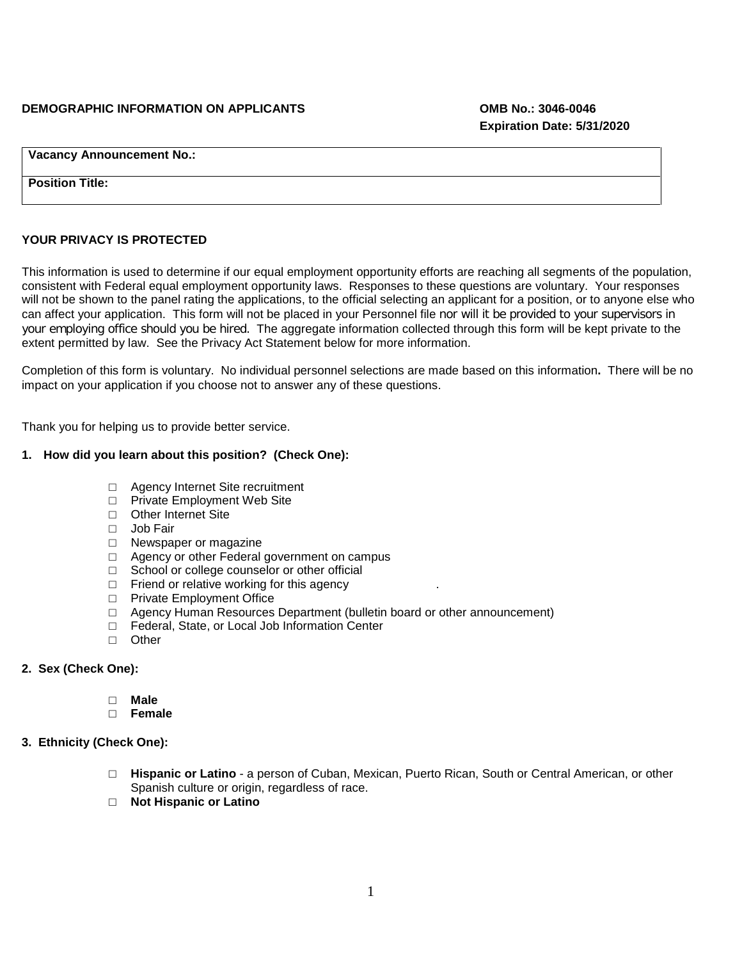#### **DEMOGRAPHIC INFORMATION ON APPLICANTS OMB No.: 3046-0046**

**Vacancy Announcement No.:**

**Position Title:**

## **YOUR PRIVACY IS PROTECTED**

This information is used to determine if our equal employment opportunity efforts are reaching all segments of the population, consistent with Federal equal employment opportunity laws. Responses to these questions are voluntary. Your responses will not be shown to the panel rating the applications, to the official selecting an applicant for a position, or to anyone else who can affect your application. This form will not be placed in your Personnel file nor will it be provided to your supervisors in your employing office should you be hired. The aggregate information collected through this form will be kept private to the extent permitted by law. See the Privacy Act Statement below for more information.

Completion of this form is voluntary. No individual personnel selections are made based on this information**.** There will be no impact on your application if you choose not to answer any of these questions.

Thank you for helping us to provide better service.

#### **1. How did you learn about this position? (Check One):**

- □ Agency Internet Site recruitment
- □ Private Employment Web Site
- □ Other Internet Site
- □ Job Fair
- □ Newspaper or magazine
- □ Agency or other Federal government on campus
- □ School or college counselor or other official
- $\Box$  Friend or relative working for this agency
- □ Private Employment Office
- □ Agency Human Resources Department (bulletin board or other announcement)
- □ Federal, State, or Local Job Information Center
- □ Other

# **2. Sex (Check One):**

- □ **Male**
- □ **Female**

#### **3. Ethnicity (Check One):**

- □ **Hispanic or Latino** a person of Cuban, Mexican, Puerto Rican, South or Central American, or other Spanish culture or origin, regardless of race.
- □ **Not Hispanic or Latino**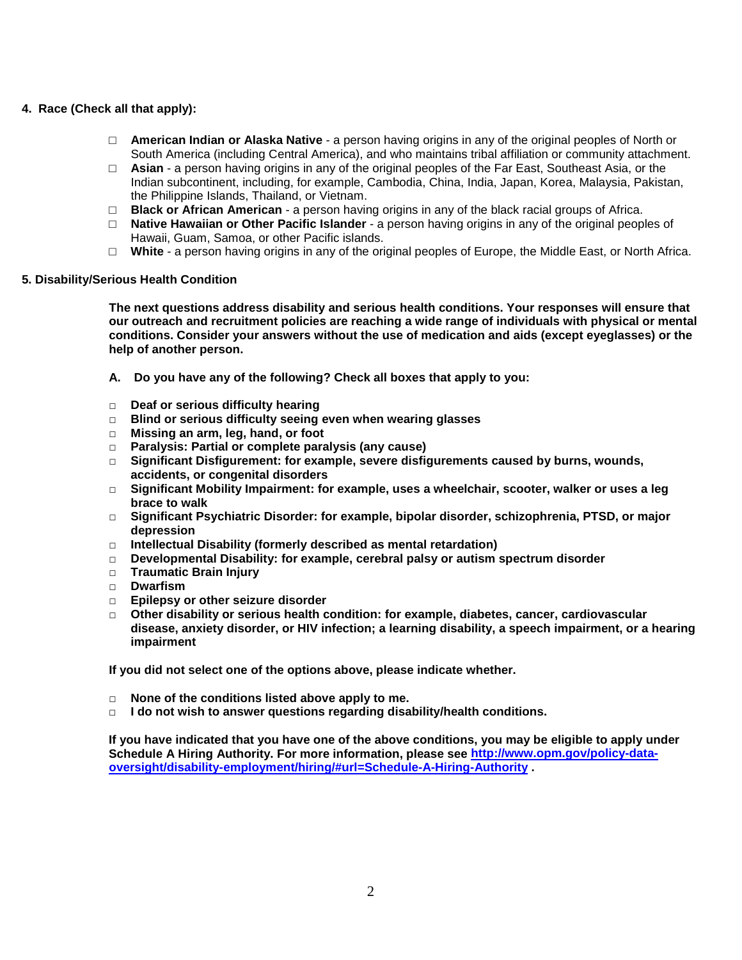# **4. Race (Check all that apply):**

- □ **American Indian or Alaska Native** a person having origins in any of the original peoples of North or South America (including Central America), and who maintains tribal affiliation or community attachment.
- □ **Asian** a person having origins in any of the original peoples of the Far East, Southeast Asia, or the Indian subcontinent, including, for example, Cambodia, China, India, Japan, Korea, Malaysia, Pakistan, the Philippine Islands, Thailand, or Vietnam.
- □ **Black or African American** a person having origins in any of the black racial groups of Africa.
- □ **Native Hawaiian or Other Pacific Islander** a person having origins in any of the original peoples of Hawaii, Guam, Samoa, or other Pacific islands.
- □ **White** a person having origins in any of the original peoples of Europe, the Middle East, or North Africa.

#### **5. Disability/Serious Health Condition**

**The next questions address disability and serious health conditions. Your responses will ensure that our outreach and recruitment policies are reaching a wide range of individuals with physical or mental conditions. Consider your answers without the use of medication and aids (except eyeglasses) or the help of another person.**

- **A. Do you have any of the following? Check all boxes that apply to you:**
- **□ Deaf or serious difficulty hearing**
- **□ Blind or serious difficulty seeing even when wearing glasses**
- **□ Missing an arm, leg, hand, or foot**
- **□ Paralysis: Partial or complete paralysis (any cause)**
- **□ Significant Disfigurement: for example, severe disfigurements caused by burns, wounds, accidents, or congenital disorders**
- **□ Significant Mobility Impairment: for example, uses a wheelchair, scooter, walker or uses a leg brace to walk**
- **□ Significant Psychiatric Disorder: for example, bipolar disorder, schizophrenia, PTSD, or major depression**
- **□ Intellectual Disability (formerly described as mental retardation)**
- **□ Developmental Disability: for example, cerebral palsy or autism spectrum disorder**
- **□ Traumatic Brain Injury**
- **□ Dwarfism**
- **□ Epilepsy or other seizure disorder**
- **□ Other disability or serious health condition: for example, diabetes, cancer, cardiovascular disease, anxiety disorder, or HIV infection; a learning disability, a speech impairment, or a hearing impairment**

**If you did not select one of the options above, please indicate whether.**

- **□ None of the conditions listed above apply to me.**
- **□ I do not wish to answer questions regarding disability/health conditions.**

**If you have indicated that you have one of the above conditions, you may be eligible to apply under Schedule A Hiring Authority. For more information, please see [http://www.opm.gov/policy-data](http://www.opm.gov/policy-data-oversight/disability-employment/hiring/#url=Schedule-A-Hiring-Authority)[oversight/disability-employment/hiring/#url=Schedule-A-Hiring-Authority](http://www.opm.gov/policy-data-oversight/disability-employment/hiring/#url=Schedule-A-Hiring-Authority) .**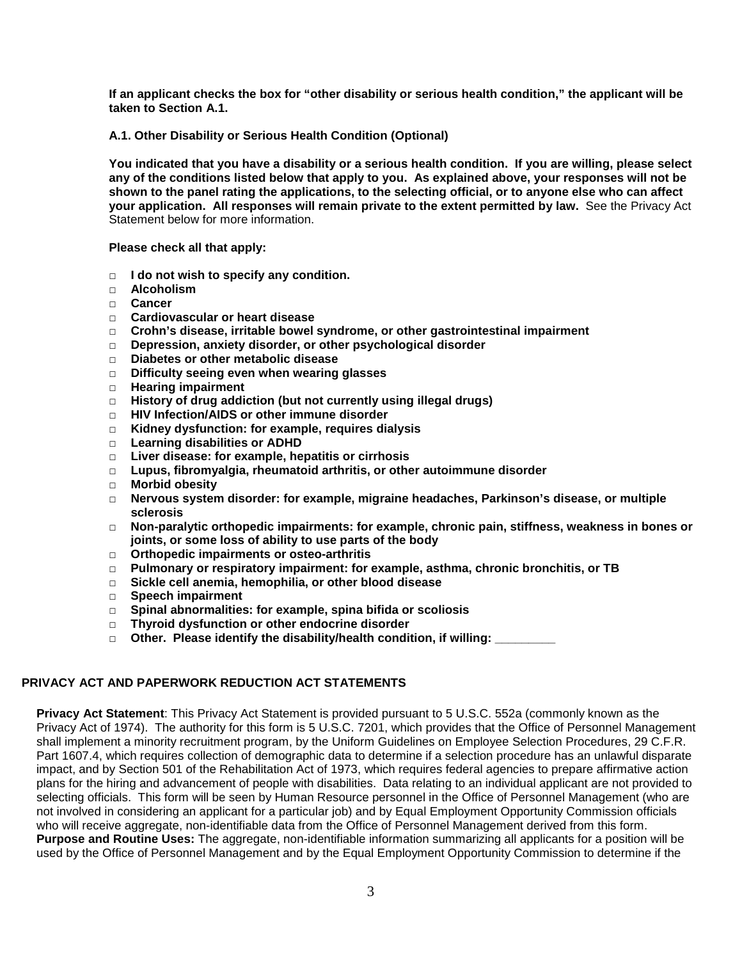**If an applicant checks the box for "other disability or serious health condition," the applicant will be taken to Section A.1.** 

**A.1. Other Disability or Serious Health Condition (Optional)**

**You indicated that you have a disability or a serious health condition. If you are willing, please select any of the conditions listed below that apply to you. As explained above, your responses will not be shown to the panel rating the applications, to the selecting official, or to anyone else who can affect your application. All responses will remain private to the extent permitted by law.** See the Privacy Act Statement below for more information.

**Please check all that apply:**

- **□ I do not wish to specify any condition.**
- **□ Alcoholism**
- **□ Cancer**
- **□ Cardiovascular or heart disease**
- **□ Crohn's disease, irritable bowel syndrome, or other gastrointestinal impairment**
- **□ Depression, anxiety disorder, or other psychological disorder**
- **□ Diabetes or other metabolic disease**
- **□ Difficulty seeing even when wearing glasses**
- **□ Hearing impairment**
- **□ History of drug addiction (but not currently using illegal drugs)**
- **□ HIV Infection/AIDS or other immune disorder**
- **□ Kidney dysfunction: for example, requires dialysis**
- **□ Learning disabilities or ADHD**
- **□ Liver disease: for example, hepatitis or cirrhosis**
- **□ Lupus, fibromyalgia, rheumatoid arthritis, or other autoimmune disorder**
- **□ Morbid obesity**
- **□ Nervous system disorder: for example, migraine headaches, Parkinson's disease, or multiple sclerosis**
- **□ Non-paralytic orthopedic impairments: for example, chronic pain, stiffness, weakness in bones or joints, or some loss of ability to use parts of the body**
- **□ Orthopedic impairments or osteo-arthritis**
- **□ Pulmonary or respiratory impairment: for example, asthma, chronic bronchitis, or TB**
- **□ Sickle cell anemia, hemophilia, or other blood disease**
- **□ Speech impairment**
- **□ Spinal abnormalities: for example, spina bifida or scoliosis**
- **□ Thyroid dysfunction or other endocrine disorder**
- □ Other. Please identify the disability/health condition, if willing:

## **PRIVACY ACT AND PAPERWORK REDUCTION ACT STATEMENTS**

**Privacy Act Statement**: This Privacy Act Statement is provided pursuant to 5 U.S.C. 552a (commonly known as the Privacy Act of 1974). The authority for this form is 5 U.S.C. 7201, which provides that the Office of Personnel Management shall implement a minority recruitment program, by the Uniform Guidelines on Employee Selection Procedures, 29 C.F.R. Part 1607.4, which requires collection of demographic data to determine if a selection procedure has an unlawful disparate impact, and by Section 501 of the Rehabilitation Act of 1973, which requires federal agencies to prepare affirmative action plans for the hiring and advancement of people with disabilities. Data relating to an individual applicant are not provided to selecting officials. This form will be seen by Human Resource personnel in the Office of Personnel Management (who are not involved in considering an applicant for a particular job) and by Equal Employment Opportunity Commission officials who will receive aggregate, non-identifiable data from the Office of Personnel Management derived from this form. **Purpose and Routine Uses:** The aggregate, non-identifiable information summarizing all applicants for a position will be used by the Office of Personnel Management and by the Equal Employment Opportunity Commission to determine if the